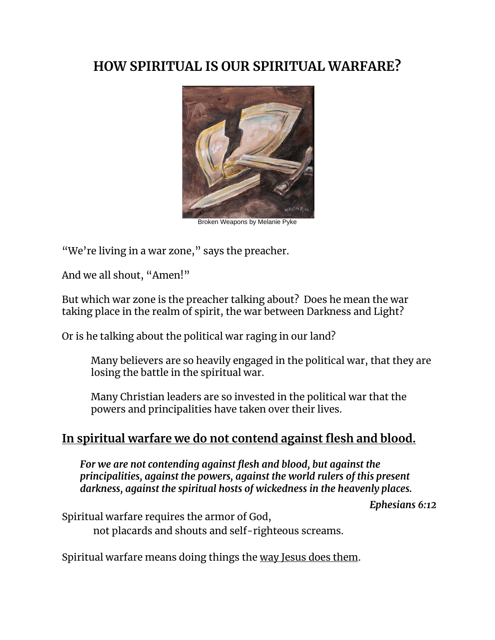# **HOW SPIRITUAL IS OUR SPIRITUAL WARFARE?**



Broken Weapons by Melanie Pyke

"We're living in a war zone," says the preacher.

And we all shout, "Amen!"

But which war zone is the preacher talking about? Does he mean the war taking place in the realm of spirit, the war between Darkness and Light?

Or is he talking about the political war raging in our land?

Many believers are so heavily engaged in the political war, that they are losing the battle in the spiritual war.

Many Christian leaders are so invested in the political war that the powers and principalities have taken over their lives.

### **In spiritual warfare we do not contend against flesh and blood.**

*For we are not contending against flesh and blood, but against the principalities, against the powers, against the world rulers of this present darkness, against the spiritual hosts of wickedness in the heavenly places.* 

*Ephesians 6:12*

Spiritual warfare requires the armor of God,

not placards and shouts and self-righteous screams.

Spiritual warfare means doing things the way Jesus does them.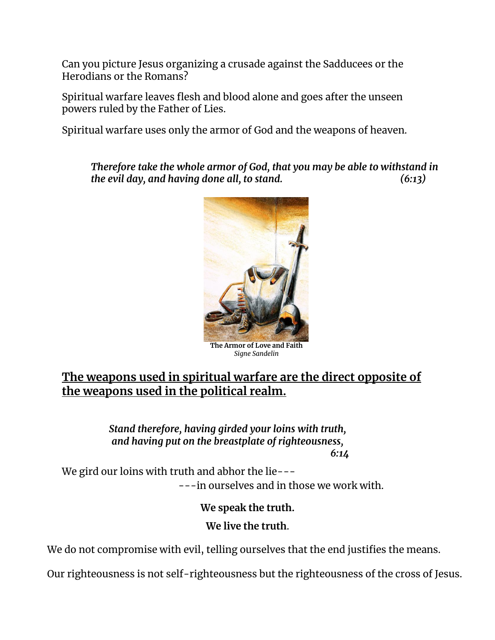Can you picture Jesus organizing a crusade against the Sadducees or the Herodians or the Romans?

Spiritual warfare leaves flesh and blood alone and goes after the unseen powers ruled by the Father of Lies.

Spiritual warfare uses only the armor of God and the weapons of heaven.

*Therefore take the whole armor of God, that you may be able to withstand in the evil day, and having done all, to stand. (6:13)*



**The Armor of Love and Faith** *Signe Sandelin*

## **The weapons used in spiritual warfare are the direct opposite of the weapons used in the political realm.**

*Stand therefore, having girded your loins with truth, and having put on the breastplate of righteousness, 6:14*

We gird our loins with truth and abhor the lie------in ourselves and in those we work with.

**We speak the truth.** 

**We live the truth**.

We do not compromise with evil, telling ourselves that the end justifies the means.

Our righteousness is not self-righteousness but the righteousness of the cross of Jesus.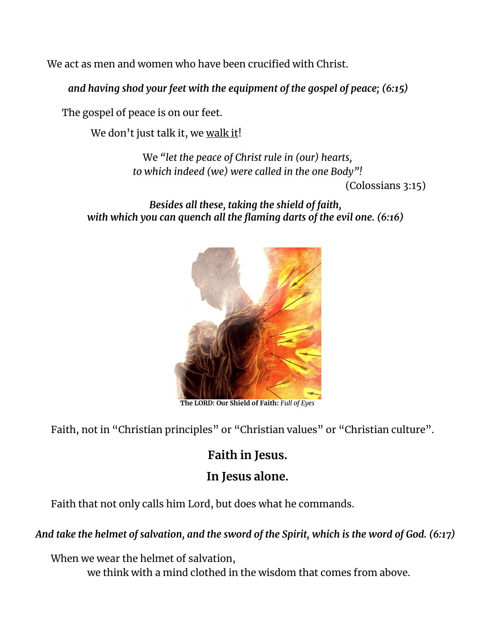We act as men and women who have been crucified with Christ.

*and having shod your feet with the equipment of the gospel of peace; (6:15)*

The gospel of peace is on our feet.

We don't just talk it, we walk it!

We *"let the peace of Christ rule in (our) hearts, to which indeed (we) were called in the one Body"!*  (Colossians 3:15)

*Besides all these, taking the shield of faith, with which you can quench all the flaming darts of the evil one. (6:16)*



**The LORD: Our Shield of Faith:** *Full of Eyes*

Faith, not in "Christian principles" or "Christian values" or "Christian culture".

# **Faith in Jesus.**

# **In Jesus alone.**

Faith that not only calls him Lord, but does what he commands.

#### *And take the helmet of salvation, and the sword of the Spirit, which is the word of God. (6:17)*

When we wear the helmet of salvation, we think with a mind clothed in the wisdom that comes from above.